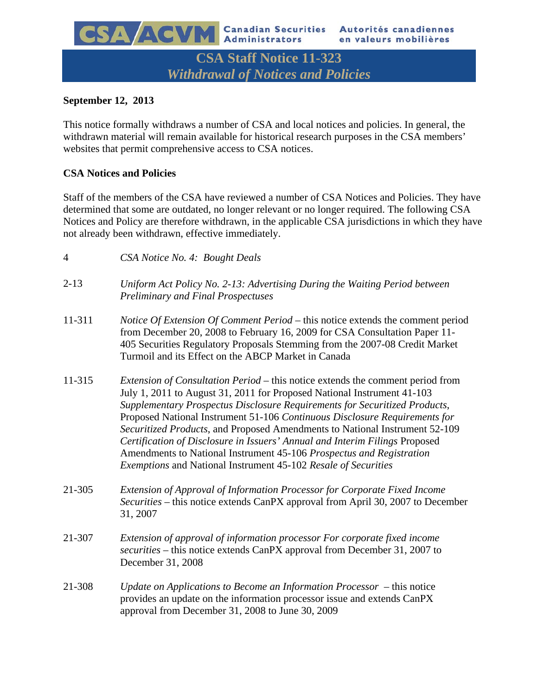**CSA Staff Notice 11-323**  *Withdrawal of Notices and Policies* 

# **September 12, 2013**

CSA ACVM

This notice formally withdraws a number of CSA and local notices and policies. In general, the withdrawn material will remain available for historical research purposes in the CSA members' websites that permit comprehensive access to CSA notices.

# **CSA Notices and Policies**

Staff of the members of the CSA have reviewed a number of CSA Notices and Policies. They have determined that some are outdated, no longer relevant or no longer required. The following CSA Notices and Policy are therefore withdrawn, in the applicable CSA jurisdictions in which they have not already been withdrawn, effective immediately.

| 4        | CSA Notice No. 4: Bought Deals                                                                                                                                                                                                                                                                                                                                                                                                                                                                                                                                                                                                       |
|----------|--------------------------------------------------------------------------------------------------------------------------------------------------------------------------------------------------------------------------------------------------------------------------------------------------------------------------------------------------------------------------------------------------------------------------------------------------------------------------------------------------------------------------------------------------------------------------------------------------------------------------------------|
| $2 - 13$ | Uniform Act Policy No. 2-13: Advertising During the Waiting Period between<br><b>Preliminary and Final Prospectuses</b>                                                                                                                                                                                                                                                                                                                                                                                                                                                                                                              |
| 11-311   | Notice Of Extension Of Comment Period – this notice extends the comment period<br>from December 20, 2008 to February 16, 2009 for CSA Consultation Paper 11-<br>405 Securities Regulatory Proposals Stemming from the 2007-08 Credit Market<br>Turmoil and its Effect on the ABCP Market in Canada                                                                                                                                                                                                                                                                                                                                   |
| 11-315   | <i>Extension of Consultation Period</i> – this notice extends the comment period from<br>July 1, 2011 to August 31, 2011 for Proposed National Instrument 41-103<br>Supplementary Prospectus Disclosure Requirements for Securitized Products,<br>Proposed National Instrument 51-106 Continuous Disclosure Requirements for<br>Securitized Products, and Proposed Amendments to National Instrument 52-109<br>Certification of Disclosure in Issuers' Annual and Interim Filings Proposed<br>Amendments to National Instrument 45-106 Prospectus and Registration<br>Exemptions and National Instrument 45-102 Resale of Securities |
| 21-305   | Extension of Approval of Information Processor for Corporate Fixed Income<br>Securities – this notice extends CanPX approval from April 30, 2007 to December<br>31, 2007                                                                                                                                                                                                                                                                                                                                                                                                                                                             |
| 21-307   | Extension of approval of information processor For corporate fixed income<br>securities – this notice extends CanPX approval from December 31, 2007 to<br>December 31, 2008                                                                                                                                                                                                                                                                                                                                                                                                                                                          |
| 21-308   | Update on Applications to Become an Information Processor – this notice<br>provides an update on the information processor issue and extends CanPX<br>approval from December 31, 2008 to June 30, 2009                                                                                                                                                                                                                                                                                                                                                                                                                               |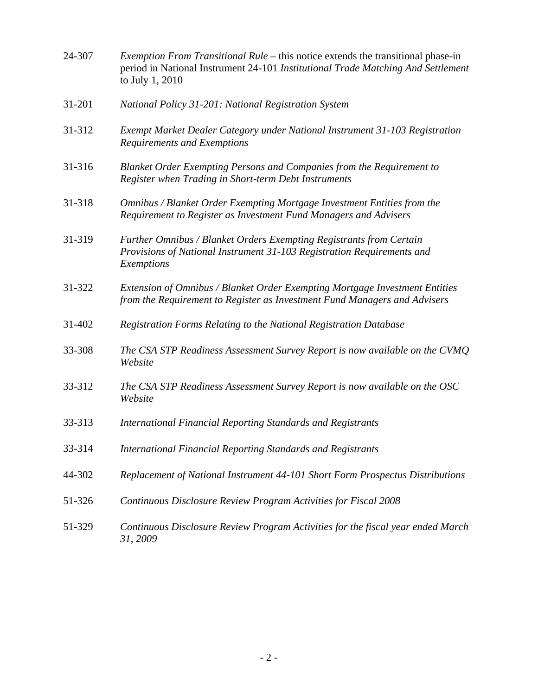| 24-307 | <i>Exemption From Transitional Rule</i> – this notice extends the transitional phase-in<br>period in National Instrument 24-101 Institutional Trade Matching And Settlement<br>to July 1, 2010 |
|--------|------------------------------------------------------------------------------------------------------------------------------------------------------------------------------------------------|
| 31-201 | National Policy 31-201: National Registration System                                                                                                                                           |
| 31-312 | Exempt Market Dealer Category under National Instrument 31-103 Registration<br>Requirements and Exemptions                                                                                     |
| 31-316 | Blanket Order Exempting Persons and Companies from the Requirement to<br>Register when Trading in Short-term Debt Instruments                                                                  |
| 31-318 | Omnibus / Blanket Order Exempting Mortgage Investment Entities from the<br>Requirement to Register as Investment Fund Managers and Advisers                                                    |
| 31-319 | Further Omnibus / Blanket Orders Exempting Registrants from Certain<br>Provisions of National Instrument 31-103 Registration Requirements and<br>Exemptions                                    |
| 31-322 | Extension of Omnibus / Blanket Order Exempting Mortgage Investment Entities<br>from the Requirement to Register as Investment Fund Managers and Advisers                                       |
| 31-402 | Registration Forms Relating to the National Registration Database                                                                                                                              |
| 33-308 | The CSA STP Readiness Assessment Survey Report is now available on the CVMQ<br>Website                                                                                                         |
| 33-312 | The CSA STP Readiness Assessment Survey Report is now available on the OSC<br>Website                                                                                                          |
| 33-313 | <b>International Financial Reporting Standards and Registrants</b>                                                                                                                             |
| 33-314 | <b>International Financial Reporting Standards and Registrants</b>                                                                                                                             |
| 44-302 | Replacement of National Instrument 44-101 Short Form Prospectus Distributions                                                                                                                  |
| 51-326 | Continuous Disclosure Review Program Activities for Fiscal 2008                                                                                                                                |
| 51-329 | Continuous Disclosure Review Program Activities for the fiscal year ended March<br>31, 2009                                                                                                    |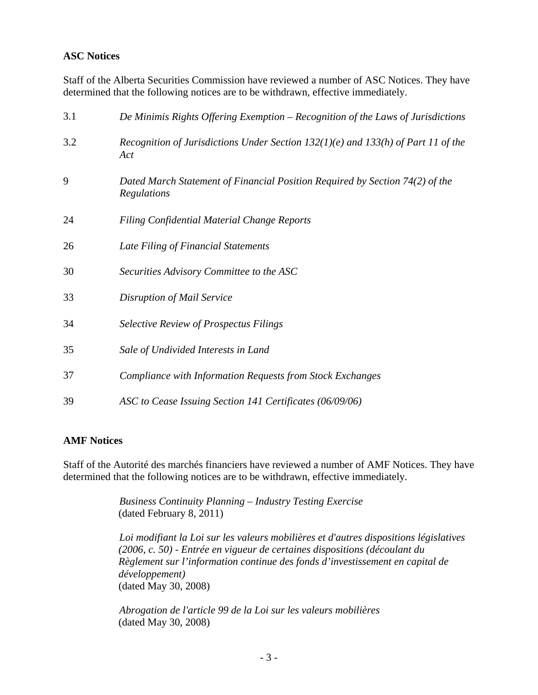### **ASC Notices**

Staff of the Alberta Securities Commission have reviewed a number of ASC Notices. They have determined that the following notices are to be withdrawn, effective immediately.

| 3.1 | De Minimis Rights Offering Exemption – Recognition of the Laws of Jurisdictions              |
|-----|----------------------------------------------------------------------------------------------|
| 3.2 | Recognition of Jurisdictions Under Section $132(1)(e)$ and $133(h)$ of Part 11 of the<br>Act |
| 9   | Dated March Statement of Financial Position Required by Section 74(2) of the<br>Regulations  |
| 24  | <b>Filing Confidential Material Change Reports</b>                                           |
| 26  | Late Filing of Financial Statements                                                          |
| 30  | Securities Advisory Committee to the ASC                                                     |
| 33  | Disruption of Mail Service                                                                   |
| 34  | <b>Selective Review of Prospectus Filings</b>                                                |
| 35  | Sale of Undivided Interests in Land                                                          |
| 37  | Compliance with Information Requests from Stock Exchanges                                    |
| 39  | ASC to Cease Issuing Section 141 Certificates (06/09/06)                                     |

#### **AMF Notices**

Staff of the Autorité des marchés financiers have reviewed a number of AMF Notices. They have determined that the following notices are to be withdrawn, effective immediately.

> *Business Continuity Planning – Industry Testing Exercise*  (dated February 8, 2011)

*Loi modifiant la Loi sur les valeurs mobilières et d'autres dispositions législatives (2006, c. 50) - Entrée en vigueur de certaines dispositions (découlant du Règlement sur l'information continue des fonds d'investissement en capital de développement)* (dated May 30, 2008)

*Abrogation de l'article 99 de la Loi sur les valeurs mobilières*  (dated May 30, 2008)